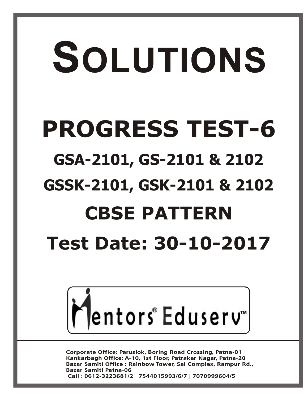# SOLUTIONS

# **PROGRESS TEST-6**

### **GSA-2101, GS-2101 & 2102**

### **GSSK-2101, GSK-2101 & 2102**

# **CBSE PATTERN**

## **Test Date: 30-10-2017**



**Corporate Office: Paruslok, Boring Road Crossing, Patna-01** Kankarbagh Office: A-10, 1st Floor, Patrakar Nagar, Patna-20 Bazar Samiti Office : Rainbow Tower, Sai Complex, Rampur Rd., **Bazar Samiti Patna-06** Call: 0612-3223681/2 | 7544015993/6/7 | 7070999604/5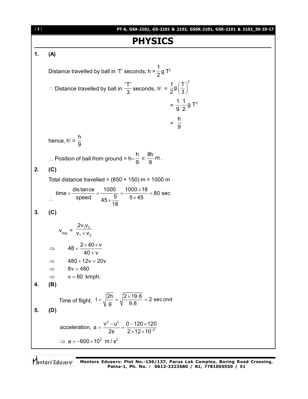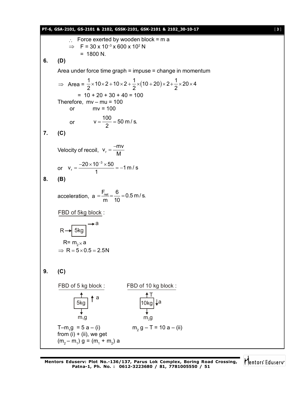#### **PT-6, GSA-2101, GS-2101 & 2102, GSSK-2101, GSK-2101 & 2102\_30-10-17** [ **3** ]  $\therefore$  Force exerted by wooden block = m a  $\Rightarrow$  F = 30 x 10<sup>-3</sup> x 600 x 10<sup>2</sup> N  $= 1800 N$ . **6. (D)** Area under force time graph = impuse = change in momentum  $\Rightarrow$  Area =  $\frac{1}{2} \times 10 \times 2 + 10 \times 2 + \frac{1}{2} \times (10 + 20) \times 2 + \frac{1}{2} \times 20 \times 4$ 2  $2^{(2)}$  $\times$ 10 $\times$ 2+10 $\times$ 2+ $\frac{1}{2}\times$ (10+20) $\times$ 2+ $\frac{1}{2}\times$ 20 $\times$ 4  $= 10 + 20 + 30 + 40 = 100$ Therefore,  $mv - mu = 100$ or  $mv = 100$ or  $v = \frac{100}{2} = 50$  m/s. 2  $=\frac{188}{2}$  = 5 **7. (C)** Velocity of recoil, v<sub>r</sub>  $v_r = \frac{-mv}{m}$ M  $=$  $\frac{-}{-}$ or 3  $v_r = \frac{-20 \times 10^{-3} \times 50}{4} = -1$  m / s 1  $=\frac{-20\times10^{-3}\times50}{1}=-1$ **8. (B)** acceleration,  $a = \frac{F_{net}}{r} = \frac{6}{40} = 0.5$  m/s. m 10  $=\frac{\cdot$  net  $=\frac{\cdot}{\cdot}$  = 0 FBD of 5kg block : 5kg a  $R = m_{2} \times a$  $\Rightarrow$  R = 5 × 0.5 = 2.5N **9. (C)** FBD of 5 kg block : FBD of 10 kg block :  $rac{1}{5}$ kg a  $m<sub>4</sub>$ g 10kg|**↓**a T  $m<sub>2</sub>$ q T–m<sub>1</sub>g = 5 a – (i) m<sub>2</sub>  $m<sub>2</sub> g - T = 10 a - (ii)$ from (i)  $+$  (ii), we get  $(m_2 - m_1)$  g =  $(m_1 + m_2)$  a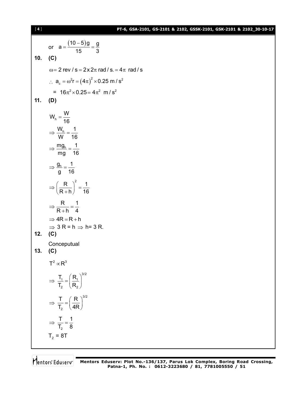#### **PT-6, GSA-2101, GS-2101 & 2102, GSSK-2101, GSK-2101 & 2102\_30-10-17**

$$
[\;4\;]
$$

or 
$$
a = \frac{(10-5)g}{15} = \frac{g}{3}
$$
  
\n10. (C)  
\n $\omega = 2 \text{ rev } / s = 2x2\pi \text{ rad } / s = 4\pi \text{ rad } / s$   
\n $\therefore a_e = \omega^2 r = (4\pi)^2 \times 0.25 \text{ m } / s^2$   
\n $= 16\pi^2 \times 0.25 = 4\pi^2 \text{ m } / s^2$   
\n11. (D)  
\n $W_h = \frac{W}{16}$   
\n $\Rightarrow \frac{W_h}{W} = \frac{1}{16}$   
\n $\Rightarrow \frac{W_h}{mg} = \frac{1}{16}$   
\n $\Rightarrow \frac{g_h}{g} = \frac{1}{16}$   
\n $\Rightarrow \frac{R}{g + h} = \frac{1}{4}$   
\n $\Rightarrow 4R = R + h$   
\n $\Rightarrow 3R = h \Rightarrow h = 3R$ .  
\n12. (C)  
\nConceptual  
\n13. (C)  
\n $T^2 \propto R^3$   
\n $\Rightarrow \frac{T}{T_2} = (\frac{R_1}{R_2})^{3/2}$   
\n $\Rightarrow \frac{T}{T_2} = (\frac{R}{4R})^{3/2}$   
\n $\Rightarrow \frac{T}{T_2} = \frac{1}{8}$   
\n $T_2 = 8T$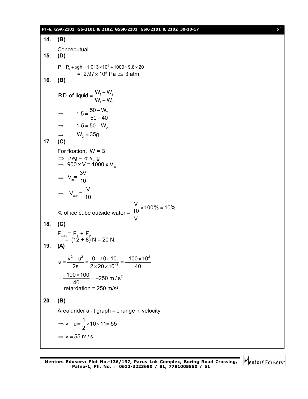#### **PT-6, GSA-2101, GS-2101 & 2102, GSSK-2101, GSK-2101 & 2102\_30-10-17** [ **5** ]

**14. (B) Conceputual 15. (D)**  $P = P_0 + \rho gh = 1.013 \times 10^5 + 1000 \times 9.8 \times 20$ =  $2.97 \times 10^5$  Pa  $\simeq$  3 atm **16. (B)**  $1$   $\cdot$   $\cdot$   $2$ 1  $\sqrt{3}$ R.D. of liquid =  $\frac{W_1 - W_2}{W_1 - W_2}$  $\mathsf{W}_{\scriptscriptstyle{1}}\!-\!\mathsf{W}_{\scriptscriptstyle{2}}$  $=\frac{W_1 - W_2}{W_1 - W_2}$  $\overline{a}$  $1.5 = \frac{50 - W_2}{50 - 12}$  $50 - 40$  $\Rightarrow$  1.5 =  $\frac{50}{50}$ - $\Rightarrow$  1.5 = 50 – W<sub>2</sub>  $\Rightarrow$   $W_2 = 35g$ **17. (C)** For floation, W = B  $\Rightarrow$   $\rho$ vg =  $\sigma$  v<sub>in</sub>g  $\Rightarrow$  900 x V = 1000 x V<sub>in</sub>  $\Rightarrow V_{in}$ = 3V 10  $\Rightarrow V_{\text{out}} =$ V 10 % of ice cube outside water =  $\frac{\text{V}}{10}$  × 100% = 10% V **18. (C)**  $F_{\text{max}} = F_1 + F_2$  $= (12 + 8) N = 20 N$ . **19. (A)** 2  $^{2}$  0 10  $^{10}$  100  $^{10}$ 2  $a = \frac{v^2 - u^2}{2s} = \frac{0 - 10 \times 10}{2 \times 20 \times 10^{-2}} = \frac{-100 \times 10}{40}$  $=\frac{v^2-u^2}{2}=\frac{0-10\times10}{2\times10^{-2}}=\frac{-100\times10}{2\times10^{-2}}$  $\times$  20  $\times$  1  $\frac{100 \times 100}{10} = -250 \text{ m/s}^2$ 40  $=\frac{-100\times100}{10}=-2$ retardation =  $250 \text{ m/s}^2$ **20. (B)** Area under a - t graph = change in velocity v – u =  $\frac{1}{2}$  × 10 × 11 = 55 2  $\Rightarrow$  v – u =  $\frac{1}{2} \times 10 \times 11$  = 5  $\Rightarrow$  v = 55 m/s.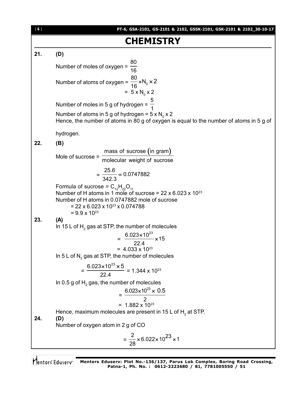

Mentors Eduserv<sup>-</sup> Mentors Eduserv: Plot No.-136/137, Parus Lok Complex, Boring Road Crossing, **Patna-1, Ph. No. : 0612-3223680 / 81, 7781005550 / 51**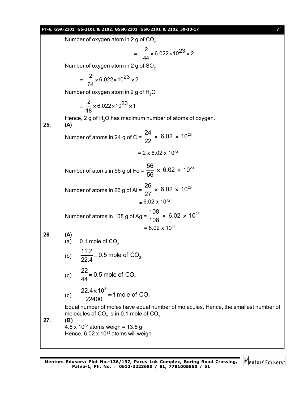#### **PT-6, GSA-2101, GS-2101 & 2102, GSSK-2101, GSK-2101 & 2102\_30-10-17** [ **7** ]

Number of oxygen atom in 2 g of  $CO<sub>2</sub>$ 

$$
= \frac{2}{44} \times 6.022 \times 10^{23} \times 2
$$

Number of oxygen atom in 2 g of  $SO<sub>2</sub>$ 

 $=\frac{2}{34} \times 6.022 \times 10^{23} \times 2$ 64  $\times$  6.022 $\times$  10<sup>23</sup>  $\times$  2

Number of oxygen atom in 2 g of H<sub>2</sub>O

$$
= \frac{2}{18} \times 6.022 \times 10^{23} \times 1
$$

Hence, 2 g of  $H<sub>2</sub>O$  has maximum number of atoms of oxygen. **25. (A)**

> Number of atoms in 24 g of C =  $\frac{24}{22} \times 6.02 \times 10^{23}$ 22  $\times$  6.02  $\times$

$$
= 2 \times 6.02 \times 10^{23}
$$

Number of atoms in 56 g of Fe =  $\frac{56}{56}$  × 6.02 × 10<sup>23</sup> 56  $\times$  6.02  $\times$ 

Number of atoms in 26 g of Al =  $\frac{26}{27} \times 6.02 \times 10^{23}$ 27  $\times$  6.02  $\times$  $\approx 6.02 \times 10^{23}$ 

Number of atoms in 108 g of Ag =  $\frac{108}{409} \times 6.02 \times 10^{23}$ 108  $\times$  6.02  $\times$  $= 6.02 \times 10^{23}$ 

**26. (A)**

(a) 
$$
0.1
$$
 mole of  $CO_2$ 

(b) 
$$
\frac{11.2}{22.4} = 0.5
$$
 mole of CO<sub>2</sub>

(c) 
$$
\frac{22}{44} = 0.5
$$
 mole of CO<sub>2</sub>

(c) 
$$
\frac{22.4 \times 10^3}{22400} = 1 \text{ mole of CO}_2
$$

Equal number of moles have equal number of molecules. Hence, the smallest number of molecules of CO $_2$  is in 0.1 mole of CO $_2^{\vphantom{1}}$ .

**27. (B)** 4.6 x 10<sup>22</sup> atoms weigh = 13.8 g Hence,  $6.02 \times 10^{23}$  atoms will weigh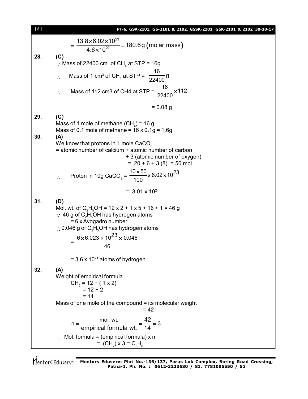| $[\; 8 \; ]$ | PT-6, GSA-2101, GS-2101 & 2102, GSSK-2101, GSK-2101 & 2102_30-10-17                                                                                                                                                                                                                                                                           |  |  |  |  |  |  |
|--------------|-----------------------------------------------------------------------------------------------------------------------------------------------------------------------------------------------------------------------------------------------------------------------------------------------------------------------------------------------|--|--|--|--|--|--|
|              | $=\frac{13.8\times6.02\times10^{23}}{4.6\times10^{22}}=180.6g \text{ (molar mass)}$                                                                                                                                                                                                                                                           |  |  |  |  |  |  |
| 28.          | (C)<br>$\therefore$ Mass of 22400 cm <sup>3</sup> of CH <sub>4</sub> at STP = 16g                                                                                                                                                                                                                                                             |  |  |  |  |  |  |
|              | Mass of 1 cm <sup>3</sup> of CH <sub>4</sub> at STP = $\frac{16}{22400}$ g<br>$\ddot{\cdot}$                                                                                                                                                                                                                                                  |  |  |  |  |  |  |
|              | Mass of 112 cm3 of CH4 at STP = $\frac{16}{22400}$ × 112<br>$\ddot{\cdot}$                                                                                                                                                                                                                                                                    |  |  |  |  |  |  |
|              | $= 0.08$ g                                                                                                                                                                                                                                                                                                                                    |  |  |  |  |  |  |
| 29.          | (C)<br>Mass of 1 mole of methane $(CH_4)$ = 16 g<br>Mass of 0.1 mole of methane = $16 \times 0.1g = 1.6g$                                                                                                                                                                                                                                     |  |  |  |  |  |  |
| 30.          | (A)<br>We know that protons in 1 mole $CaCO3$<br>= atomic number of calcium + atomic number of carbon<br>+ 3 (atomic number of oxygen)<br>$= 20 + 6 + 3(8) = 50$ mol                                                                                                                                                                          |  |  |  |  |  |  |
|              | Proton in 10g CaCO <sub>3</sub> = $\frac{10 \times 50}{100}$ × 6.02 × 10 <sup>23</sup>                                                                                                                                                                                                                                                        |  |  |  |  |  |  |
|              | $= 3.01 \times 10^{24}$                                                                                                                                                                                                                                                                                                                       |  |  |  |  |  |  |
| 31.          | (D)<br>Mol. wt. of C <sub>2</sub> H <sub>5</sub> OH = 12 x 2 + 1 x 5 + 16 + 1 = 46 g<br>$\therefore$ 46 g of C <sub>2</sub> H <sub>5</sub> OH has hydrogen atoms<br>$= 6x$ Avogadro number<br>$\therefore$ 0.046 g of C <sub>2</sub> H <sub>5</sub> OH has hydrogen atoms<br>$=$ $\frac{6 \times 6.023 \times 10^{23} \times 0.046}{2}$<br>46 |  |  |  |  |  |  |
|              | $=$ 3.6 x 10 <sup>21</sup> atoms of hydrogen.                                                                                                                                                                                                                                                                                                 |  |  |  |  |  |  |
| 32.          | (A)<br>Weight of empirical formula<br>$CH_2 = 12 + (1 \times 2)$<br>$= 12 + 2$<br>$= 14$<br>Mass of one mole of the compound = its molecular weight                                                                                                                                                                                           |  |  |  |  |  |  |
|              | $= 42$<br>$\frac{mol. wt.}{empirical formula wt.} = \frac{42}{14} = 3$<br>$n = -$                                                                                                                                                                                                                                                             |  |  |  |  |  |  |
|              | $\therefore$ Mol. formula = (empirical formula) x n<br>= $(CH_2) \times 3 = C_3H_6$                                                                                                                                                                                                                                                           |  |  |  |  |  |  |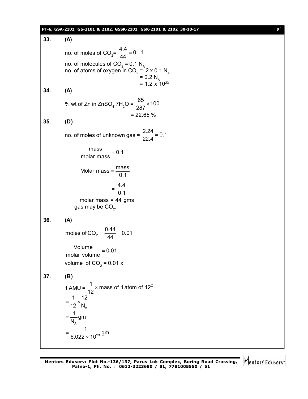#### **PT-6, GSA-2101, GS-2101 & 2102, GSSK-2101, GSK-2101 & 2102\_30-10-17** [ **9** ]

**33. (A)** no. of moles of CO<sub>2</sub> =  $\frac{4.4}{44}$  = 0 – 1 44  $= 0 - 1$ no. of molecules of CO<sub>2</sub> = 0.1  $N_A$ no. of atoms of oxygen in CO $_{_2}$  =  $\,$  2 x 0.1 N $_{_{\rm A}}$  $= 0.2 N<sub>A</sub>$  $= 1.2 \times 10^{23}$ **34. (A)** % wt of Zn in ZnSO<sub>4</sub>.7H<sub>2</sub>O =  $\frac{65}{287}$  × 100 287  $\times$  $= 22.65 \%$ **35. (D)** no. of moles of unknown gas =  $\frac{2.24}{20.4}$  = 0.1 22.4  $=$  $\frac{\text{mass}}{\text{m}} = 0.1$ molar mass  $=$ Molar mass  $=$   $\frac{\text{mass}}{\text{gas}}$ 0.1  $=$  $=$   $-$ 4.4 0.1 molar mass  $= 44$  gms  $\therefore$  gas may be CO<sub>2</sub>. **36. (A)** moles of CO<sub>2</sub> =  $\frac{0.44}{44}$  = 0.01 44  $=\frac{0.11}{44}$  = 0  $\frac{\text{Volume}}{\text{1}}$  = 0.01 molar volume  $=$ volume of CO<sub>2</sub> = 0.01 x **37. (B)** 1 AMU =  $\frac{1}{42}$  × mass of 1 atom of 12<sup>c</sup> 12  $\times$ A  $1 \n\begin{array}{c} 12 \end{array}$ 12 N  $=\frac{1}{10} \times \frac{1}{10}$ A  $\frac{1}{1}$ gm N  $=$ 23  $\frac{1}{2}$  gm  $6.022\times 10$  $=$  $\times$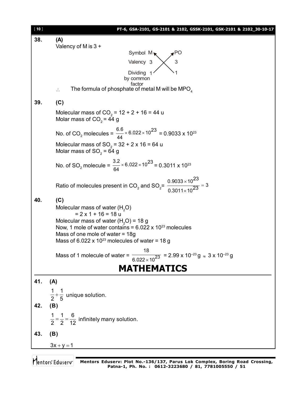| [10]                                                                                                    | PT-6, GSA-2101, GS-2101 & 2102, GSSK-2101, GSK-2101 & 2102_30-10-17                                                           |  |  |  |  |  |  |
|---------------------------------------------------------------------------------------------------------|-------------------------------------------------------------------------------------------------------------------------------|--|--|--|--|--|--|
| 38.                                                                                                     | (A)                                                                                                                           |  |  |  |  |  |  |
|                                                                                                         | Valency of M is $3 +$                                                                                                         |  |  |  |  |  |  |
|                                                                                                         | Symbol $M_{\star}$<br>$\bullet$ PO                                                                                            |  |  |  |  |  |  |
|                                                                                                         | 3<br>Valency 3                                                                                                                |  |  |  |  |  |  |
|                                                                                                         | Dividing<br>by common                                                                                                         |  |  |  |  |  |  |
|                                                                                                         | factor<br>The formula of phosphate of metal M will be MPO <sub>4</sub><br>$\ddot{\cdot}$ .                                    |  |  |  |  |  |  |
| 39.                                                                                                     | (C)                                                                                                                           |  |  |  |  |  |  |
| Molecular mass of $CO_2$ = 12 + 2 + 16 = 44 u<br>Molar mass of $CO2 = 44 g$                             |                                                                                                                               |  |  |  |  |  |  |
| No. of CO <sub>2</sub> molecules = $\frac{6.6}{44} \times 6.022 \times 10^{23} = 0.9033 \times 10^{23}$ |                                                                                                                               |  |  |  |  |  |  |
|                                                                                                         | Molecular mass of $SO_2$ = 32 + 2 x 16 = 64 u<br>Molar mass of $SO_2 = 64$ g                                                  |  |  |  |  |  |  |
|                                                                                                         | No. of SO <sub>2</sub> molecule = $\frac{3.2}{64} \times 6.022 \times 10^{23} = 0.3011 \times 10^{23}$                        |  |  |  |  |  |  |
|                                                                                                         | Ratio of molecules present in CO <sub>2</sub> and SO <sub>2</sub> = $\frac{0.9033 \times 10^{23}}{0.3011 \times 10^{23}}$ = 3 |  |  |  |  |  |  |
| 40.                                                                                                     | (C)                                                                                                                           |  |  |  |  |  |  |
|                                                                                                         | Molecular mass of water (H <sub>2</sub> O)                                                                                    |  |  |  |  |  |  |
|                                                                                                         | $= 2 \times 1 + 16 = 18$ u                                                                                                    |  |  |  |  |  |  |
|                                                                                                         | Molecular mass of water $(H2O) = 18 g$<br>Now, 1 mole of water contains = $6.022 \times 10^{23}$ molecules                    |  |  |  |  |  |  |
|                                                                                                         | Mass of one mole of water $= 18g$                                                                                             |  |  |  |  |  |  |
|                                                                                                         | Mass of 6.022 x 10 <sup>23</sup> molecules of water = 18 g                                                                    |  |  |  |  |  |  |
|                                                                                                         | 18                                                                                                                            |  |  |  |  |  |  |
|                                                                                                         | Mass of 1 molecule of water = $\frac{1}{6.022 \times 10^{23}}$ = 2.99 x 10 <sup>-23</sup> g $\approx 3$ x 10 <sup>-23</sup> g |  |  |  |  |  |  |
|                                                                                                         | <b>MATHEMATICS</b>                                                                                                            |  |  |  |  |  |  |
| 41.                                                                                                     | (A)                                                                                                                           |  |  |  |  |  |  |
|                                                                                                         | $\frac{1}{2} + \frac{1}{5}$ unique solution.                                                                                  |  |  |  |  |  |  |
|                                                                                                         |                                                                                                                               |  |  |  |  |  |  |
| 42.                                                                                                     | (B)                                                                                                                           |  |  |  |  |  |  |
|                                                                                                         | $\frac{1}{2} = \frac{1}{2} = \frac{6}{12}$ infinitely many solution.                                                          |  |  |  |  |  |  |
| 43.                                                                                                     | (B)                                                                                                                           |  |  |  |  |  |  |
|                                                                                                         | $3x + y = 1$                                                                                                                  |  |  |  |  |  |  |
|                                                                                                         |                                                                                                                               |  |  |  |  |  |  |

**Mentors Eduserv: Plot No.-136/137, Parus Lok Complex, Boring Road Crossing, Patna-1, Ph. No. : 0612-3223680 / 81, 7781005550 / 51**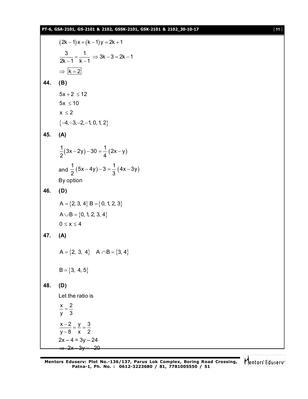#### **PT-6, GSA-2101, GS-2101 & 2102, GSSK-2101, GSK-2101 & 2102\_30-10-17** [ **11** ]

$$
(2k-1)x + (k-1)y = 2k+1
$$
\n
$$
\frac{3}{2k-1} = \frac{1}{k-1} \Rightarrow 3k-3 = 2k-1
$$
\n
$$
\Rightarrow \frac{k=2}{k=2}
$$
\n44. (B)  
\n
$$
5x + 2 \le 12
$$
\n
$$
5x \le 10
$$
\n
$$
x \le 2
$$
\n
$$
\{-4, -3, -2, -1, 0, 1, 2\}
$$
\n45. (A)  
\n
$$
\frac{1}{2}(3x-2y)-30 = \frac{1}{4}(2x-y)
$$
\nand 
$$
\frac{1}{2}(5x-4y)-3 = \frac{1}{3}(4x-3y)
$$
\nBy option  
\n46. (D)  
\n
$$
A = \{2, 3, 4\} \quad B = \{0, 1, 2, 3\}
$$
\n
$$
A \cup B = \{0, 1, 2, 3, 4\}
$$
\n
$$
0 \le x \le 4
$$
\n47. (A)  
\n
$$
A = \{2, 3, 4\} \quad A \cap B = \{3, 4\}
$$
\n
$$
B = \{3, 4, 5\}
$$
\n48. (D)  
\nLet the ratio is  
\n
$$
\frac{x}{y} = \frac{2}{3}
$$
\n
$$
\frac{x-2}{y-8} = \frac{y}{x} = \frac{3}{2}
$$
\n
$$
\frac{x-2}{y-8} = \frac{y}{x} = \frac{3}{2}
$$
\n
$$
\frac{2x-4}{3y-24} = \frac{2y}{3} = \frac{2}{2}
$$

Mentors<sup>®</sup> Eduserv<sup>®</sup>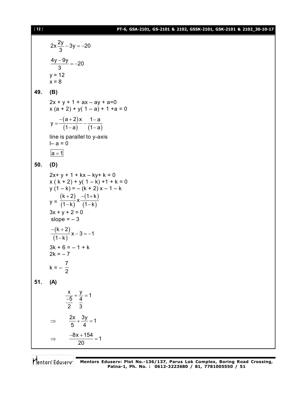#### **PT-6, GSA-2101, GS-2101 & 2102, GSSK-2101, GSK-2101 & 2102\_30-10-17**

$$
2x\frac{2y}{3} - 3y = -20
$$
\n
$$
\frac{4y - 9y}{3} = -20
$$
\n
$$
y = 12
$$
\nx = 8\n49. (B)  
\n
$$
2x + y + 1 + ax - ay + a = 0
$$
\nx (a + 2) + y(1 - a) + 1 + a = 0\n
$$
y = \frac{-(a+2)x}{(1-a)} - \frac{1-a}{(1-a)}
$$
\nline is parallel to y-axis\n
$$
1-a = 0
$$
\n50. (D)  
\n
$$
2x + y + 1 + kx - ky + k = 0
$$
\nx (k + 2) + y(1 - k) + 1 + k = 0\n
$$
y (1 - k) = -(k + 2)x - 1 - k
$$
\ny = 
$$
\frac{(k+2)}{(1-k)} \times \frac{-(1+k)}{(1-k)}
$$
\n
$$
3x + y + 2 = 0
$$
\nslope = -3\n
$$
-\frac{(k+2)}{(1-k)}x - 3 = -1
$$
\n
$$
3k + 6 = -1 + k
$$
\n
$$
2k = -7
$$
\nk = 
$$
-\frac{7}{2}
$$
\n51. (A)  
\n
$$
\frac{x}{-5} + \frac{y}{4} = 1
$$
\n
$$
\frac{-8x + 154}{2} = 1
$$
\n
$$
\Rightarrow \frac{-8x + 154}{20} = 1
$$

**Mentors Eduserv: Plot No.-136/137, Parus Lok Complex, Boring Road Crossing, Patna-1, Ph. No. : 0612-3223680 / 81, 7781005550 / 51**

[ **12** ]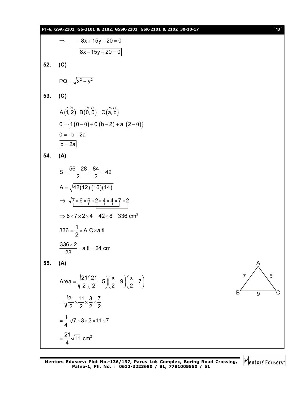$$
8x + 15y - 20 = 0
$$
\n52. (C)  
\n
$$
PQ = \sqrt{x^2 + y^2}
$$
\n53. (C)  
\n
$$
PQ = \sqrt{x^2 + y^2}
$$
\n54. (A)  
\n
$$
A(1,2) B(0,0) C(a, b)
$$
\n
$$
0 = {10-0+0 (b-2) + a (2-0)}
$$
\n
$$
0 = -b + 2a
$$
\n
$$
b = 2a
$$
\n54. (A)  
\n
$$
S = \frac{56 + 28}{2} = \frac{84}{2} = 42
$$
\n
$$
A = \sqrt{42(12)(16)(14)}
$$
\n
$$
\Rightarrow \sqrt{7 \times 6 \times 6 \times 2 \times 4 \times 4 \times 7 \times 2}
$$
\n
$$
\Rightarrow 6 \times 7 \times 2 \times 4 = 42 \times 8 = 336 \text{ cm}^2
$$
\n
$$
336 - \frac{1}{2} \times A \text{ C} \times \text{atti}
$$
\n
$$
\frac{336 \times 2}{28} = \text{alti} = 24 \text{ cm}
$$
\n55. (A)  
\nArea =  $\sqrt{\frac{21}{2}(\frac{21}{2} - 5)(\frac{x}{2} - 9)(\frac{x}{2} - 7)}$   
\n
$$
= \sqrt{\frac{21}{2} \times \frac{11}{2} \times \frac{3}{2} \times \frac{7}{2}}
$$
\n
$$
= \frac{1}{4} \sqrt{7 \times 3 \times 3 \times 11 \times 7}
$$
\n
$$
= \frac{21}{4} \sqrt{11} \text{ cm}^2
$$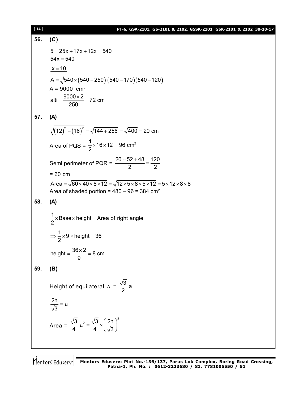**PT-6, GSA-2101, GS-2101 & 2102, GSSK-2101, GSK-2101 & 2102\_30-10-17** [ **14** ] **56. (C)**  $5 = 25x + 17x + 12x = 540$  $54x = 540$  $x = 10$  $A = \sqrt{540 \times (540 - 250) (540 - 170) (540 - 120)}$  $A = 9000$  cm<sup>2</sup> alti =  $\frac{9000 \times 2}{250}$  = 72 cm 250  $=\frac{9000\times2}{250}$ **57. (A)**  $(12)^2 + (16)^2 = \sqrt{144 + 256} = \sqrt{400} = 20$  cm Area of PQS =  $\frac{1}{2} \times 16 \times 12 = 96$  cm<sup>2</sup> 2  $\times$ 16 $\times$ 12 = ! Semi perimeter of PQR =  $20 + 52 + 48$  120 2 2  $\frac{+52+48}{2}$  = = 60 cm Area =  $\sqrt{60 \times 40 \times 8 \times 12}$  =  $\sqrt{12 \times 5 \times 8 \times 5 \times 12}$  =  $5 \times 12 \times 8 \times 8$ Area of shaded portion =  $480 - 96 = 384$  cm<sup>2</sup> **58. (A)**  $\frac{1}{6}$ ×Base×height = Area of right angle 2  $\times$ Base $\times$  height $=$  /  $\frac{1}{2}$  × 9 × height = 36 2  $\Rightarrow$   $\frac{1}{6} \times 9 \times$ height = 3 height =  $\frac{36 \times 2}{2}$  = 8 cm 9  $=\frac{36\times2}{2}=8$ **59. (B)** Height of equilateral  $\Delta = \frac{\sqrt{3}}{2}$  a 2  $\frac{2h}{\sqrt{2}}$  = a 3  $=$ Area =  $\frac{3}{2}$  a<sup>2</sup> =  $\frac{\sqrt{3}}{4} \times \left(\frac{2h}{\sqrt{2}}\right)^2$ 4  $4 \sqrt{3}$  $=\frac{\sqrt{3}}{4}\times\left(\frac{2h}{\sqrt{3}}\right)^2$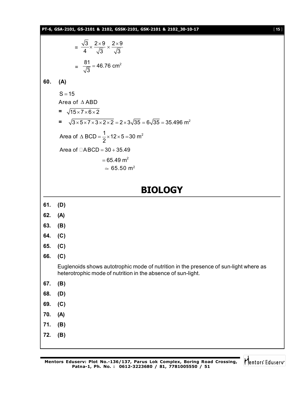**PT-6, GSA-2101, GS-2101 & 2102, GSSK-2101, GSK-2101 & 2102\_30-10-17** [ **15** ]

$$
= \frac{\sqrt{3}}{4} \times \frac{2 \times 9}{\sqrt{3}} \times \frac{2 \times 9}{\sqrt{3}}
$$

$$
= \frac{81}{\sqrt{3}} = 46.76
$$
 cm<sup>2</sup>

#### **60. (A)**

 $S = 15$ Area of  $\triangle$  ABD  $= \sqrt{15 \times 7 \times 6 \times 2}$  $=$   $\sqrt{3} \times 5 \times 7 \times 3 \times 2 \times 2 = 2 \times 3 \sqrt{35} = 6 \sqrt{35} = 35.496$  m<sup>2</sup> Area of  $\triangle$  BCD =  $\frac{1}{2} \times 12 \times 5 = 30$  m<sup>2</sup> 2  $\triangle$  BCD =  $\frac{1}{6} \times 12 \times 5 = 3$ Area of  $\Box$ ABCD = 30 + 35.49  $= 65.49 \text{ m}^2$  $\approx 65.50 \text{ m}^2$ 

#### **BIOLOGY**

- **61. (D)**
- **62. (A)**
- **63. (B)**
- **64. (C)**
- **65. (C)**
- **66. (C)**

Euglenoids shows autotrophic mode of nutrition in the presence of sun-light where as heterotrophic mode of nutrition in the absence of sun-light.

- **67. (B)**
- **68. (D)**
- **69. (C)**
- **70. (A)**
- **71. (B)**
- **72. (B)**